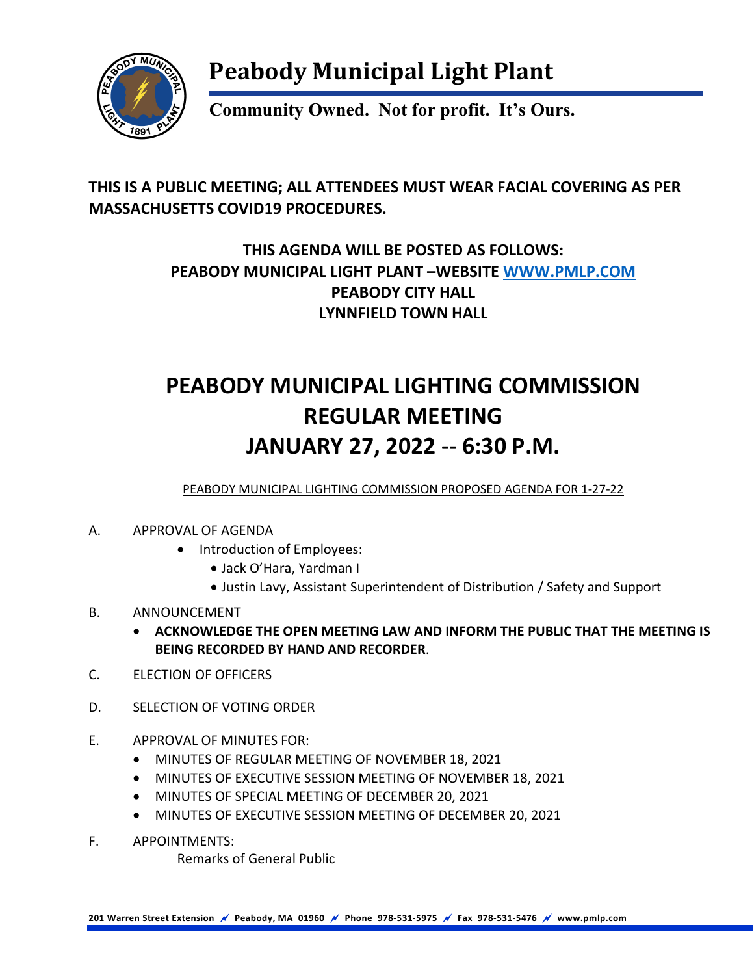

## **Peabody Municipal Light Plant**

**Community Owned. Not for profit. It's Ours.**

#### **THIS IS A PUBLIC MEETING; ALL ATTENDEES MUST WEAR FACIAL COVERING AS PER MASSACHUSETTS COVID19 PROCEDURES.**

### **THIS AGENDA WILL BE POSTED AS FOLLOWS: PEABODY MUNICIPAL LIGHT PLANT –WEBSITE [WWW.PMLP.COM](http://www.pmlp.com/) PEABODY CITY HALL LYNNFIELD TOWN HALL**

## **PEABODY MUNICIPAL LIGHTING COMMISSION REGULAR MEETING JANUARY 27, 2022 -- 6:30 P.M.**

PEABODY MUNICIPAL LIGHTING COMMISSION PROPOSED AGENDA FOR 1-27-22

- A. APPROVAL OF AGENDA
	- Introduction of Employees:
		- Jack O'Hara, Yardman I
		- Justin Lavy, Assistant Superintendent of Distribution / Safety and Support
- B. ANNOUNCEMENT
	- **ACKNOWLEDGE THE OPEN MEETING LAW AND INFORM THE PUBLIC THAT THE MEETING IS BEING RECORDED BY HAND AND RECORDER**.
- C. ELECTION OF OFFICERS
- D. SELECTION OF VOTING ORDER
- E. APPROVAL OF MINUTES FOR:
	- MINUTES OF REGULAR MEETING OF NOVEMBER 18, 2021
	- MINUTES OF EXECUTIVE SESSION MEETING OF NOVEMBER 18, 2021
	- MINUTES OF SPECIAL MEETING OF DECEMBER 20, 2021
	- MINUTES OF EXECUTIVE SESSION MEETING OF DECEMBER 20, 2021
- F. APPOINTMENTS:

Remarks of General Public

**201 Warren Street Extension Peabody, MA 01960 Phone 978-531-5975 Fax 978-531-5476 www.pmlp.com**